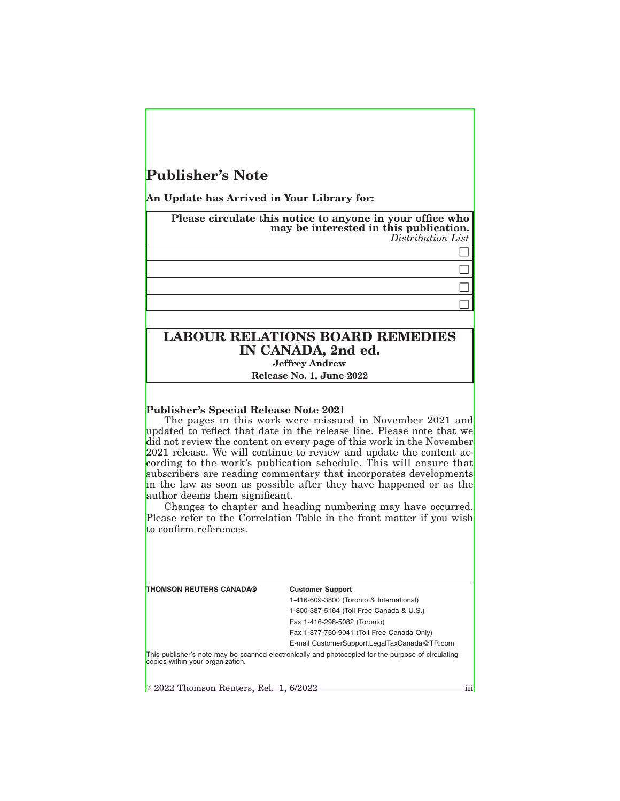# **Publisher's Note**

**An Update has Arrived in Your Library for:**

**Please circulate this notice to anyone in your office who may be interested in this publication.** *Distribution List*  $\Box$  $\Box$  $\Box$  $\Box$ 

## **LABOUR RELATIONS BOARD REMEDIES IN CANADA, 2nd ed. Jeffrey Andrew**

**Release No. 1, June 2022**

### **Publisher's Special Release Note 2021**

The pages in this work were reissued in November 2021 and updated to reflect that date in the release line. Please note that we did not review the content on every page of this work in the November 2021 release. We will continue to review and update the content according to the work's publication schedule. This will ensure that subscribers are reading commentary that incorporates developments in the law as soon as possible after they have happened or as the author deems them significant.

Changes to chapter and heading numbering may have occurred. Please refer to the Correlation Table in the front matter if you wish to confirm references.

**THOMSON REUTERS CANADA® Customer Support**

1-416-609-3800 (Toronto & International) 1-800-387-5164 (Toll Free Canada & U.S.)

Fax 1-416-298-5082 (Toronto)

Fax 1-877-750-9041 (Toll Free Canada Only) E-mail CustomerSupport.LegalTaxCanada@TR.com

This publisher's note may be scanned electronically and photocopied for the purpose of circulating copies within your organization.

 $\approx$  2022 Thomson Reuters, Rel. 1, 6/2022 iii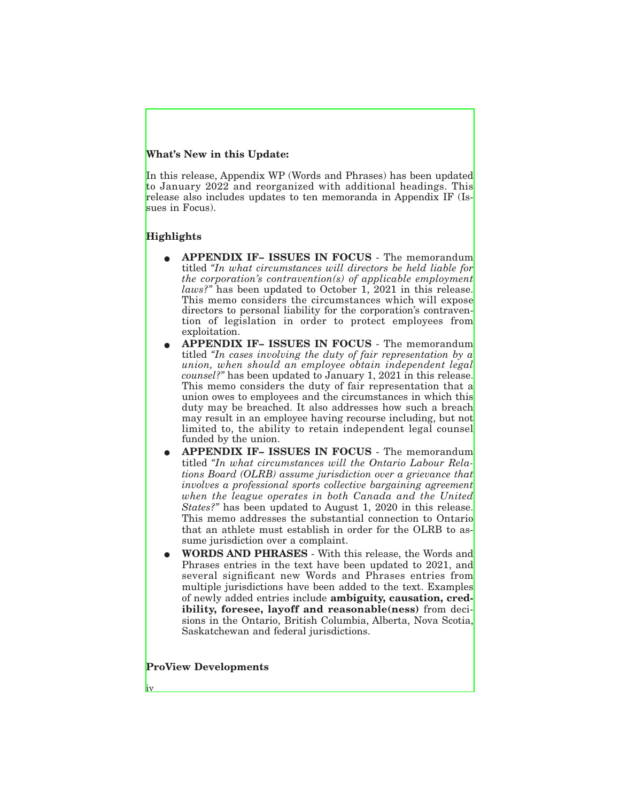### **What's New in this Update:**

In this release, Appendix WP (Words and Phrases) has been updated to January 2022 and reorganized with additional headings. This release also includes updates to ten memoranda in Appendix IF (Issues in Focus).

### **Highlights**

- E **APPENDIX IF– ISSUES IN FOCUS** The memorandum titled *"In what circumstances will directors be held liable for the corporation's contravention(s) of applicable employment laws?"* has been updated to October 1, 2021 in this release. This memo considers the circumstances which will expose directors to personal liability for the corporation's contravention of legislation in order to protect employees from exploitation.
- E **APPENDIX IF– ISSUES IN FOCUS** The memorandum titled *"In cases involving the duty of fair representation by a union, when should an employee obtain independent legal counsel?"* has been updated to January 1, 2021 in this release. This memo considers the duty of fair representation that a union owes to employees and the circumstances in which this duty may be breached. It also addresses how such a breach may result in an employee having recourse including, but not limited to, the ability to retain independent legal counsel funded by the union.
- E **APPENDIX IF– ISSUES IN FOCUS** The memorandum titled *"In what circumstances will the Ontario Labour Relations Board (OLRB) assume jurisdiction over a grievance that involves a professional sports collective bargaining agreement when the league operates in both Canada and the United States?"* has been updated to August 1, 2020 in this release. This memo addresses the substantial connection to Ontario that an athlete must establish in order for the OLRB to assume jurisdiction over a complaint.
- E **WORDS AND PHRASES** With this release, the Words and Phrases entries in the text have been updated to 2021, and several significant new Words and Phrases entries from multiple jurisdictions have been added to the text. Examples of newly added entries include **ambiguity, causation, credibility, foresee, layoff and reasonable(ness)** from decisions in the Ontario, British Columbia, Alberta, Nova Scotia, Saskatchewan and federal jurisdictions.

**ProView Developments**

iv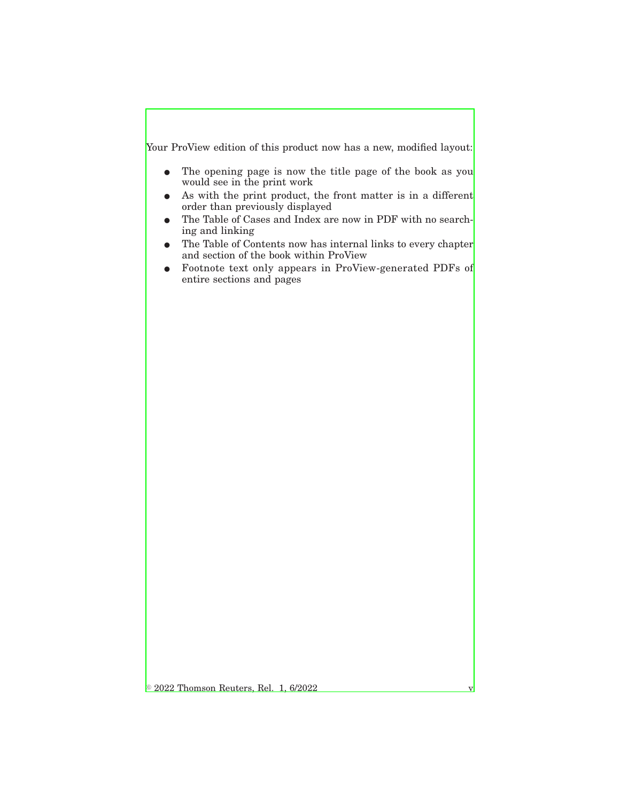Your ProView edition of this product now has a new, modified layout:

- The opening page is now the title page of the book as you would see in the print work
- $\bullet$  As with the print product, the front matter is in a different order than previously displayed
- E The Table of Cases and Index are now in PDF with no searching and linking
- The Table of Contents now has internal links to every chapter and section of the book within ProView
- Footnote text only appears in ProView-generated PDFs of entire sections and pages

 $\circ$  2022 Thomson Reuters, Rel. 1, 6/2022